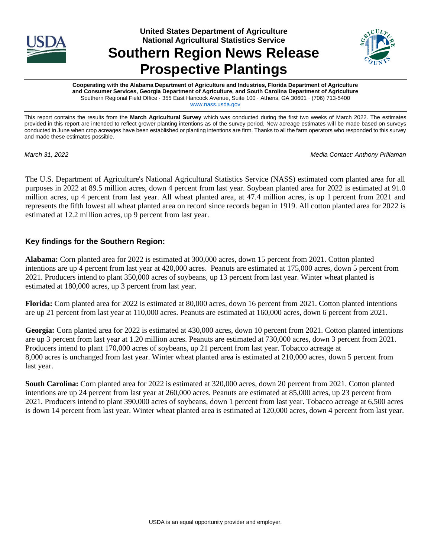

# **United States Department of Agriculture National Agricultural Statistics Service Southern Region News Release Prospective Plantings**



**Cooperating with the Alabama Department of Agriculture and Industries, Florida Department of Agriculture and Consumer Services, Georgia Department of Agriculture, and South Carolina Department of Agriculture** Southern Regional Field Office · 355 East Hancock Avenue, Suite 100 · Athens, GA 30601 · (706) 713-5400 [www.nass.usda.gov](http://www.nass.usda.gov/)

This report contains the results from the **March Agricultural Survey** which was conducted during the first two weeks of March 2022. The estimates provided in this report are intended to reflect grower planting intentions as of the survey period. New acreage estimates will be made based on surveys conducted in June when crop acreages have been established or planting intentions are firm. Thanks to all the farm operators who responded to this survey and made these estimates possible.

*March 31, 2022 Media Contact: Anthony Prillaman*

The U.S. Department of Agriculture's National Agricultural Statistics Service (NASS) estimated corn planted area for all purposes in 2022 at 89.5 million acres, down 4 percent from last year. Soybean planted area for 2022 is estimated at 91.0 million acres, up 4 percent from last year. All wheat planted area, at 47.4 million acres, is up 1 percent from 2021 and represents the fifth lowest all wheat planted area on record since records began in 1919. All cotton planted area for 2022 is estimated at 12.2 million acres, up 9 percent from last year.

### **Key findings for the Southern Region:**

**Alabama:** Corn planted area for 2022 is estimated at 300,000 acres, down 15 percent from 2021. Cotton planted intentions are up 4 percent from last year at 420,000 acres. Peanuts are estimated at 175,000 acres, down 5 percent from 2021. Producers intend to plant 350,000 acres of soybeans, up 13 percent from last year. Winter wheat planted is estimated at 180,000 acres, up 3 percent from last year.

**Florida:** Corn planted area for 2022 is estimated at 80,000 acres, down 16 percent from 2021. Cotton planted intentions are up 21 percent from last year at 110,000 acres. Peanuts are estimated at 160,000 acres, down 6 percent from 2021.

**Georgia:** Corn planted area for 2022 is estimated at 430,000 acres, down 10 percent from 2021. Cotton planted intentions are up 3 percent from last year at 1.20 million acres. Peanuts are estimated at 730,000 acres, down 3 percent from 2021. Producers intend to plant 170,000 acres of soybeans, up 21 percent from last year. Tobacco acreage at 8,000 acres is unchanged from last year. Winter wheat planted area is estimated at 210,000 acres, down 5 percent from last year.

**South Carolina:** Corn planted area for 2022 is estimated at 320,000 acres, down 20 percent from 2021. Cotton planted intentions are up 24 percent from last year at 260,000 acres. Peanuts are estimated at 85,000 acres, up 23 percent from 2021. Producers intend to plant 390,000 acres of soybeans, down 1 percent from last year. Tobacco acreage at 6,500 acres is down 14 percent from last year. Winter wheat planted area is estimated at 120,000 acres, down 4 percent from last year.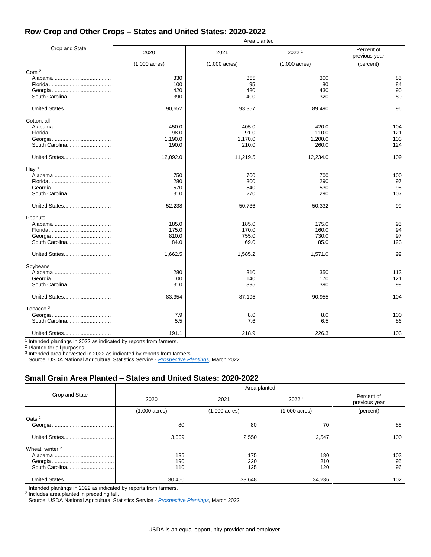#### **Row Crop and Other Crops – States and United States: 2020-2022**

|                                             | Area planted                               |                                            |                                            |                              |  |
|---------------------------------------------|--------------------------------------------|--------------------------------------------|--------------------------------------------|------------------------------|--|
| Crop and State                              | 2020                                       | 2021                                       | 2022 <sup>1</sup>                          | Percent of<br>previous year  |  |
|                                             | $(1,000 \text{ acres})$                    | $(1,000 \text{ acres})$                    | $(1,000 \text{ acres})$                    | (percent)                    |  |
| Corn <sup>2</sup><br>South Carolina         | 330<br>100<br>420<br>390                   | 355<br>95<br>480<br>400                    | 300<br>80<br>430<br>320                    | 85<br>84<br>90<br>80         |  |
| United States                               | 90,652                                     | 93,357                                     | 89,490                                     | 96                           |  |
| Cotton, all<br>South Carolina               | 450.0<br>98.0<br>1,190.0<br>190.0          | 405.0<br>91.0<br>1,170.0<br>210.0          | 420.0<br>110.0<br>1,200.0<br>260.0         | 104<br>121<br>103<br>124     |  |
|                                             | 12,092.0                                   | 11,219.5                                   | 12,234.0                                   | 109                          |  |
| Hay $3$<br>South Carolina<br>United States  | 750<br>280<br>570<br>310<br>52,238         | 700<br>300<br>540<br>270<br>50,736         | 700<br>290<br>530<br>290<br>50,332         | 100<br>97<br>98<br>107<br>99 |  |
| Peanuts                                     |                                            |                                            |                                            |                              |  |
| South Carolina<br>United States             | 185.0<br>175.0<br>810.0<br>84.0<br>1,662.5 | 185.0<br>170.0<br>755.0<br>69.0<br>1,585.2 | 175.0<br>160.0<br>730.0<br>85.0<br>1,571.0 | 95<br>94<br>97<br>123<br>99  |  |
|                                             |                                            |                                            |                                            |                              |  |
| Soybeans<br>South Carolina<br>United States | 280<br>100<br>310<br>83,354                | 310<br>140<br>395<br>87,195                | 350<br>170<br>390<br>90,955                | 113<br>121<br>99<br>104      |  |
|                                             |                                            |                                            |                                            |                              |  |
| Tobacco <sup>3</sup><br>South Carolina      | 7.9<br>5.5                                 | 8.0<br>7.6                                 | 8.0<br>6.5                                 | 100<br>86                    |  |
| United States                               | 191.1                                      | 218.9                                      | 226.3                                      | 103                          |  |

<sup>1</sup> Intended plantings in 2022 as indicated by reports from farmers.

<sup>2</sup> Planted for all purposes.<br><sup>3</sup> Intended area harvested in 2022 as indicated by reports from farmers.

Source: USDA National Agricultural Statistics Service - *[Prospective Plantings](https://usda.library.cornell.edu/concern/publications/x633f100h)*, March 2022

#### **Small Grain Area Planted – States and United States: 2020-2022**

|                 | Area planted            |                         |                         |                             |  |
|-----------------|-------------------------|-------------------------|-------------------------|-----------------------------|--|
| Crop and State  | 2020                    | 2021                    | 2022 <sup>1</sup>       | Percent of<br>previous year |  |
|                 | $(1,000 \text{ acres})$ | $(1,000 \text{ acres})$ | $(1,000 \text{ acres})$ | (percent)                   |  |
| Oats $2$        | 80                      | 80                      | 70                      | 88                          |  |
|                 |                         |                         |                         |                             |  |
|                 | 3,009                   | 2,550                   | 2,547                   | 100                         |  |
| Wheat, winter 2 |                         |                         |                         |                             |  |
|                 | 135                     | 175                     | 180                     | 103                         |  |
|                 | 190                     | 220                     | 210                     | 95                          |  |
|                 | 110                     | 125                     | 120                     | 96                          |  |
|                 | 30,450                  | 33,648                  | 34,236                  | 102                         |  |

<sup>1</sup> Intended plantings in 2022 as indicated by reports from farmers.

2 Includes area planted in preceding fall.

Source: USDA National Agricultural Statistics Service - *[Prospective Plantings](https://usda.library.cornell.edu/concern/publications/x633f100h)*, March 2022